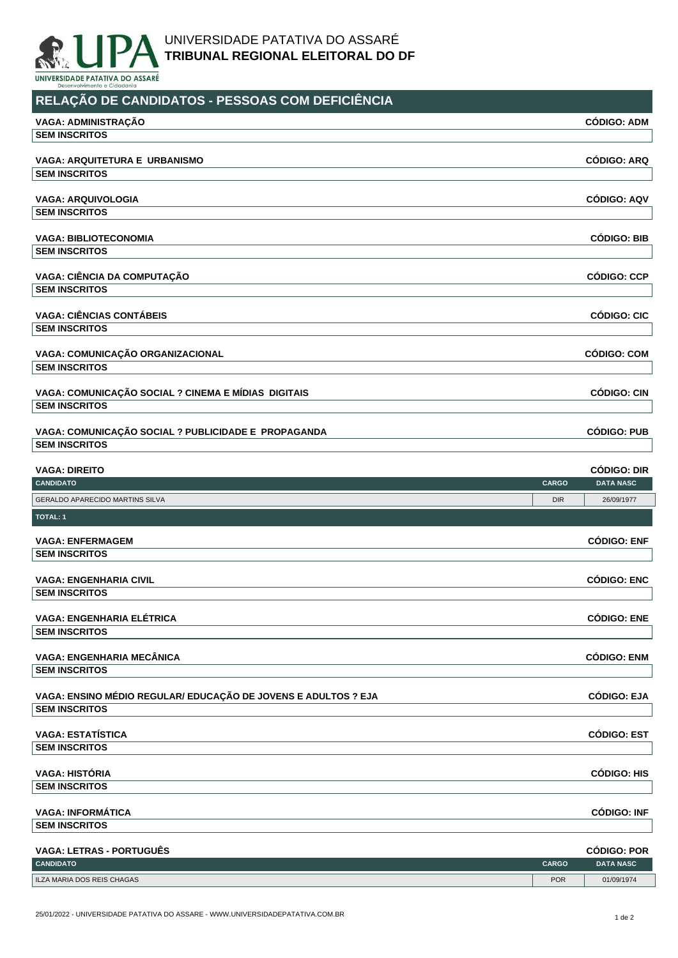

UNIVERSIDADE PATATIVA DO ASSARÉ **TRIBUNAL REGIONAL ELEITORAL DO DF**

**RELAÇÃO DE CANDIDATOS - PESSOAS COM DEFICIÊNCIA**

| VAGA: ADMINISTRAÇÃO                                            |              | <b>CÓDIGO: ADM</b>                     |
|----------------------------------------------------------------|--------------|----------------------------------------|
| <b>SEM INSCRITOS</b>                                           |              |                                        |
| VAGA: ARQUITETURA E URBANISMO                                  |              | <b>CÓDIGO: ARQ</b>                     |
| <b>SEM INSCRITOS</b>                                           |              |                                        |
|                                                                |              |                                        |
| <b>VAGA: ARQUIVOLOGIA</b>                                      |              | <b>CÓDIGO: AQV</b>                     |
| <b>SEM INSCRITOS</b>                                           |              |                                        |
| <b>VAGA: BIBLIOTECONOMIA</b>                                   |              | <b>CÓDIGO: BIB</b>                     |
| <b>SEM INSCRITOS</b>                                           |              |                                        |
|                                                                |              |                                        |
| VAGA: CIÊNCIA DA COMPUTAÇÃO<br><b>SEM INSCRITOS</b>            |              | <b>CÓDIGO: CCP</b>                     |
|                                                                |              |                                        |
| <b>VAGA: CIÊNCIAS CONTÁBEIS</b>                                |              | <b>CÓDIGO: CIC</b>                     |
| <b>SEM INSCRITOS</b>                                           |              |                                        |
|                                                                |              | <b>CÓDIGO: COM</b>                     |
| VAGA: COMUNICAÇÃO ORGANIZACIONAL<br><b>SEM INSCRITOS</b>       |              |                                        |
|                                                                |              |                                        |
| VAGA: COMUNICAÇÃO SOCIAL ? CINEMA E MÍDIAS DIGITAIS            |              | <b>CÓDIGO: CIN</b>                     |
| <b>SEM INSCRITOS</b>                                           |              |                                        |
|                                                                |              |                                        |
| VAGA: COMUNICAÇÃO SOCIAL ? PUBLICIDADE E PROPAGANDA            |              | <b>CÓDIGO: PUB</b>                     |
| <b>SEM INSCRITOS</b>                                           |              |                                        |
| <b>VAGA: DIREITO</b>                                           |              | <b>CÓDIGO: DIR</b>                     |
| <b>CANDIDATO</b>                                               | <b>CARGO</b> | <b>DATA NASC</b>                       |
|                                                                |              |                                        |
| GERALDO APARECIDO MARTINS SILVA                                | <b>DIR</b>   | 26/09/1977                             |
| <b>TOTAL: 1</b>                                                |              |                                        |
|                                                                |              |                                        |
| <b>VAGA: ENFERMAGEM</b>                                        |              | <b>CÓDIGO: ENF</b>                     |
| <b>SEM INSCRITOS</b>                                           |              |                                        |
| <b>VAGA: ENGENHARIA CIVIL</b>                                  |              | <b>CÓDIGO: ENC</b>                     |
| <b>SEM INSCRITOS</b>                                           |              |                                        |
|                                                                |              |                                        |
| VAGA: ENGENHARIA ELÉTRICA                                      |              | <b>CÓDIGO: ENE</b>                     |
| <b>SEM INSCRITOS</b>                                           |              |                                        |
| <b>VAGA: ENGENHARIA MECÂNICA</b>                               |              | <b>CÓDIGO: ENM</b>                     |
| <b>SEM INSCRITOS</b>                                           |              |                                        |
|                                                                |              |                                        |
| VAGA: ENSINO MÉDIO REGULAR/ EDUCAÇÃO DE JOVENS E ADULTOS ? EJA |              | <b>CÓDIGO: EJA</b>                     |
| <b>SEM INSCRITOS</b>                                           |              |                                        |
| <b>VAGA: ESTATÍSTICA</b>                                       |              |                                        |
| <b>SEM INSCRITOS</b>                                           |              | <b>CÓDIGO: EST</b>                     |
|                                                                |              |                                        |
| <b>VAGA: HISTÓRIA</b>                                          |              | <b>CÓDIGO: HIS</b>                     |
| <b>SEM INSCRITOS</b>                                           |              |                                        |
|                                                                |              |                                        |
| <b>VAGA: INFORMÁTICA</b><br><b>SEM INSCRITOS</b>               |              | <b>CÓDIGO: INF</b>                     |
|                                                                |              |                                        |
| <b>VAGA: LETRAS - PORTUGUÊS</b><br><b>CANDIDATO</b>            | <b>CARGO</b> | <b>CÓDIGO: POR</b><br><b>DATA NASC</b> |